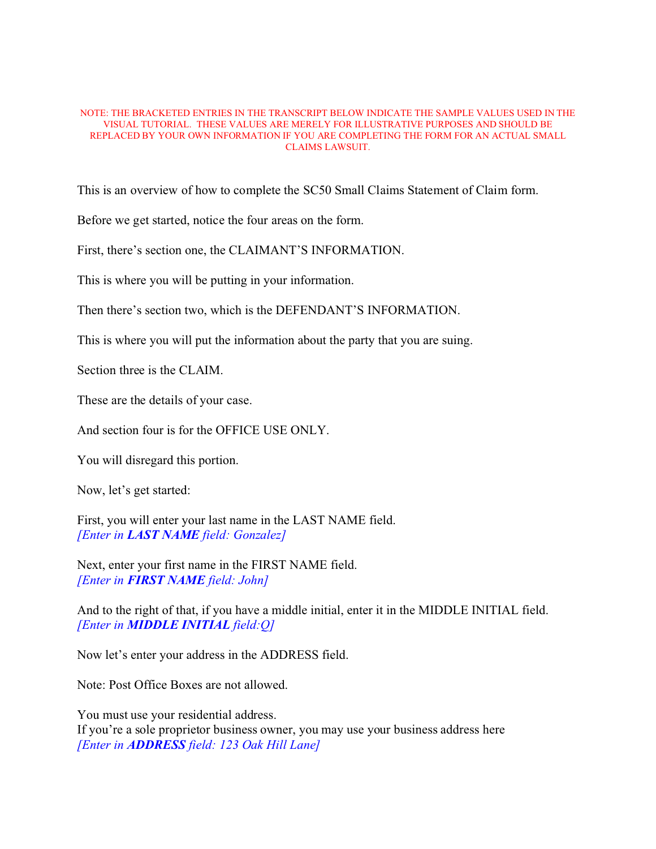## NOTE: THE BRACKETED ENTRIES IN THE TRANSCRIPT BELOW INDICATE THE SAMPLE VALUES USED IN THE VISUAL TUTORIAL. THESE VALUES ARE MERELY FOR ILLUSTRATIVE PURPOSES AND SHOULD BE REPLACED BY YOUR OWN INFORMATION IF YOU ARE COMPLETING THE FORM FOR AN ACTUAL SMALL CLAIMS LAWSUIT.

This is an overview of how to complete the SC50 Small Claims Statement of Claim form.

Before we get started, notice the four areas on the form.

First, there's section one, the CLAIMANT'S INFORMATION.

This is where you will be putting in your information.

Then there's section two, which is the DEFENDANT'S INFORMATION.

This is where you will put the information about the party that you are suing.

Section three is the CLAIM.

These are the details of your case.

And section four is for the OFFICE USE ONLY.

You will disregard this portion.

Now, let's get started:

First, you will enter your last name in the LAST NAME field. *[Enter in LAST NAME field: Gonzalez]*

Next, enter your first name in the FIRST NAME field. *[Enter in FIRST NAME field: John]*

And to the right of that, if you have a middle initial, enter it in the MIDDLE INITIAL field. *[Enter in MIDDLE INITIAL field:Q]*

Now let's enter your address in the ADDRESS field.

Note: Post Office Boxes are not allowed.

You must use your residential address.

If you're a sole proprietor business owner, you may use your business address here *[Enter in ADDRESS field: 123 Oak Hill Lane]*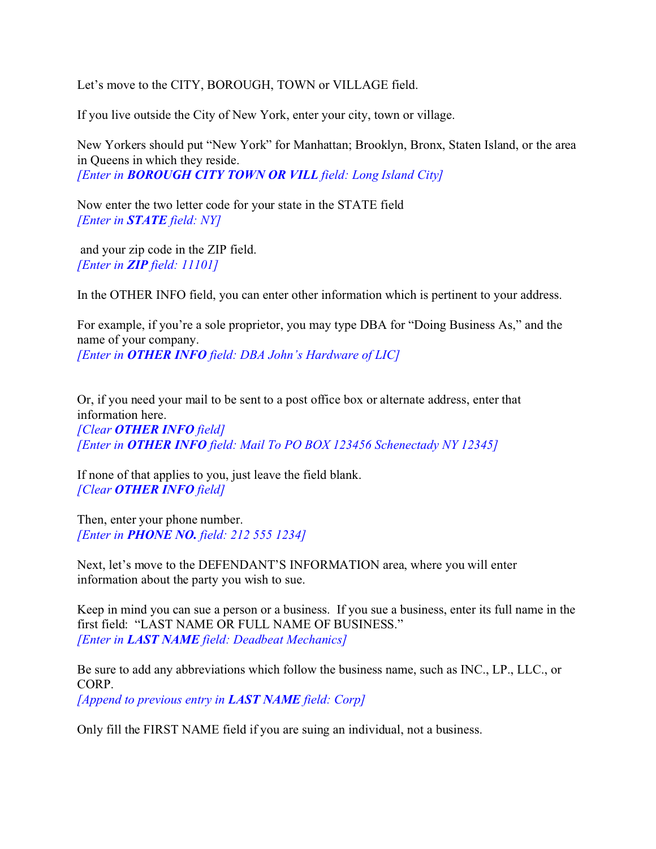Let's move to the CITY, BOROUGH, TOWN or VILLAGE field.

If you live outside the City of New York, enter your city, town or village.

New Yorkers should put "New York" for Manhattan; Brooklyn, Bronx, Staten Island, or the area in Queens in which they reside. *[Enter in BOROUGH CITY TOWN OR VILL field: Long Island City]*

Now enter the two letter code for your state in the STATE field *[Enter in STATE field: NY]*

 and your zip code in the ZIP field. *[Enter in ZIP field: 11101]*

In the OTHER INFO field, you can enter other information which is pertinent to your address.

For example, if you're a sole proprietor, you may type DBA for "Doing Business As," and the name of your company. *[Enter in OTHER INFO field: DBA John's Hardware of LIC]*

Or, if you need your mail to be sent to a post office box or alternate address, enter that information here. *[Clear OTHER INFO field] [Enter in OTHER INFO field: Mail To PO BOX 123456 Schenectady NY 12345]*

If none of that applies to you, just leave the field blank. *[Clear OTHER INFO field]*

Then, enter your phone number. *[Enter in PHONE NO. field: 212 555 1234]*

Next, let's move to the DEFENDANT'S INFORMATION area, where you will enter information about the party you wish to sue.

Keep in mind you can sue a person or a business. If you sue a business, enter its full name in the first field: "LAST NAME OR FULL NAME OF BUSINESS." *[Enter in LAST NAME field: Deadbeat Mechanics]*

Be sure to add any abbreviations which follow the business name, such as INC., LP., LLC., or CORP.

*[Append to previous entry in LAST NAME field: Corp]*

Only fill the FIRST NAME field if you are suing an individual, not a business.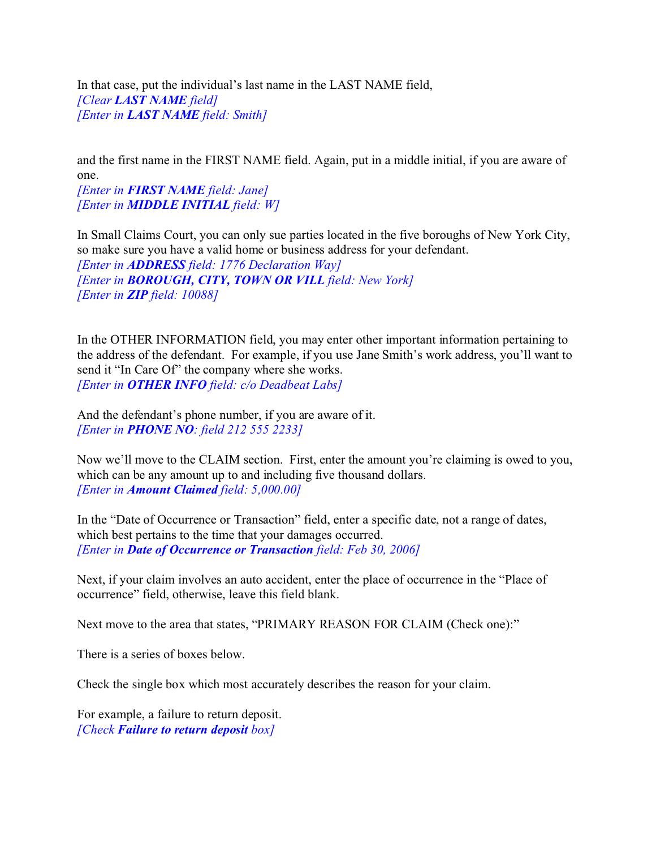In that case, put the individual's last name in the LAST NAME field, *[Clear LAST NAME field] [Enter in LAST NAME field: Smith]*

and the first name in the FIRST NAME field. Again, put in a middle initial, if you are aware of one.

*[Enter in FIRST NAME field: Jane] [Enter in MIDDLE INITIAL field: W]*

In Small Claims Court, you can only sue parties located in the five boroughs of New York City, so make sure you have a valid home or business address for your defendant.

*[Enter in ADDRESS field: 1776 Declaration Way] [Enter in BOROUGH, CITY, TOWN OR VILL field: New York] [Enter in ZIP field: 10088]*

In the OTHER INFORMATION field, you may enter other important information pertaining to the address of the defendant. For example, if you use Jane Smith's work address, you'll want to send it "In Care Of" the company where she works. *[Enter in OTHER INFO field: c/o Deadbeat Labs]*

And the defendant's phone number, if you are aware of it. *[Enter in PHONE NO: field 212 555 2233]*

Now we'll move to the CLAIM section. First, enter the amount you're claiming is owed to you, which can be any amount up to and including five thousand dollars. *[Enter in Amount Claimed field: 5,000.00]* 

In the "Date of Occurrence or Transaction" field, enter a specific date, not a range of dates, which best pertains to the time that your damages occurred. *[Enter in Date of Occurrence or Transaction field: Feb 30, 2006]*

Next, if your claim involves an auto accident, enter the place of occurrence in the "Place of occurrence" field, otherwise, leave this field blank.

Next move to the area that states, "PRIMARY REASON FOR CLAIM (Check one):"

There is a series of boxes below.

Check the single box which most accurately describes the reason for your claim.

For example, a failure to return deposit. *[Check Failure to return deposit box]*